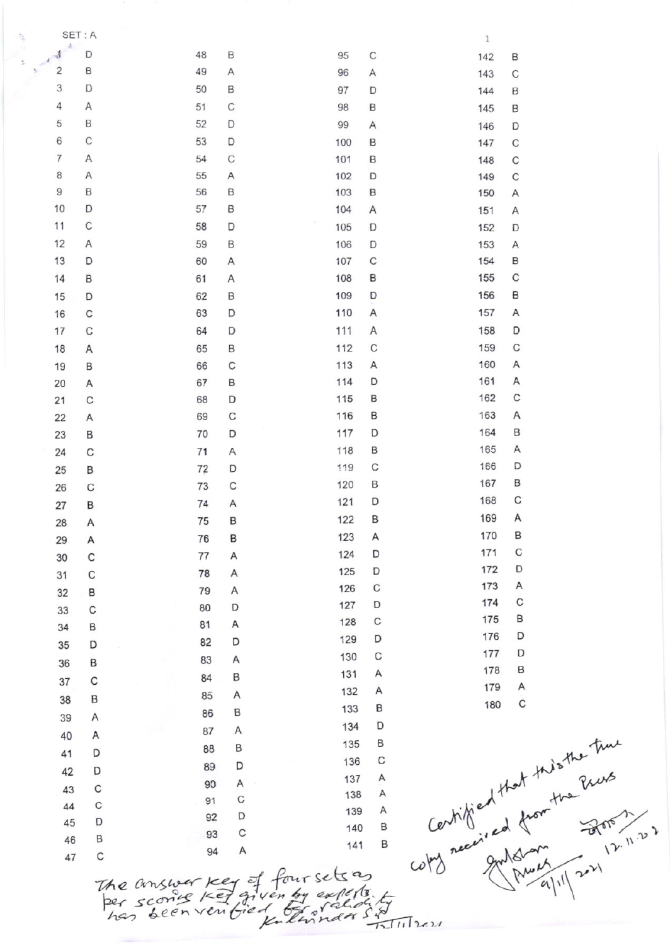SET: A  $\mathbf{1}$  $\Delta$ đ D 48 B 95  $\mathsf{C}$ 142 B  $\overline{c}$ B 49 A 96 A  $\mathsf{C}$ 143 3 D 50 B 97 D B 144 4 A 51 C 98 B 145 B 5 B 52 D 99 A 146 D 6 C 53 D 100 B 147  $\mathsf{C}$  $\overline{7}$  $\overline{A}$ 54 C 101 B  $\mathsf{C}$ 148 8  $\overline{A}$ 55 A 102 D 149  $\mathsf{C}$  $\mathsf g$ B 56 B 103 B 150  $\overline{A}$ 10 D 57 B 104 A 151 A  $\mathsf{C}$  $11$ 58 D 105 D 152 D  $12$ A 59 B 106 D  $\overline{A}$ 153 C 13 D B 60 Α 107 154  $\mathsf{C}$ B 155  $14$ B 61 108 A B B 109 D 156 15 D 62 A 16  $\mathsf{C}$ 63 D 110 A 157  $\mathsf{C}$ 158 D 17 64 D 111 A  $\mathsf{C}$ C 159 18 65 B 112 A 160 Α 19 B 66 C 113 A D 161 A 67 B 114 20 A B 162 C 115  $21$  $\mathbf C$ 68 D 163 A 69 C 116 B 22 A 70 D 117 D 164 B 23 B 165 Α C 71 A 118 B 24 D 166 119 C 72 D 25 B B 167 120 B C 73  $\mathsf{C}$ 26 C 168 D 121 74  $\mathsf{A}$ 27 B 169 A 122 B 75 B 28 A 170 B 123 A 76 B 29 A 171 C D 124 C 77 A 30 D 172 D 125 78 A C 31 A 173  $\mathsf{C}$ 126 79  $\overline{A}$ 32 B C 174 127 D D 80 C 33 B 175 C 128 A 81 34 B D 176 D 129 D 82 D 35 D 177 C 130 A 83 B 36 B 178 A 131 B 84 C 37 Α 179 A 132 A 85 B 38  $\mathsf{C}$ 180 B 133 86 B A 39 Certified that this the time<br>Certified from the Press<br>cots needing and from the Press D 134 A 87 A 40 B 135 B 88 D 41 C 136 D 89 D 42 A 137 A 90  $\mathsf{C}$ 43 138 A C  $91$  $\mathbf C$ 44 A 139 D 92 D 45 B 140 93 C B 46 B 141  $\overline{A}$ 94  $\mathbf C$ 47

The answer key of four sets as  $^{(4)}$  0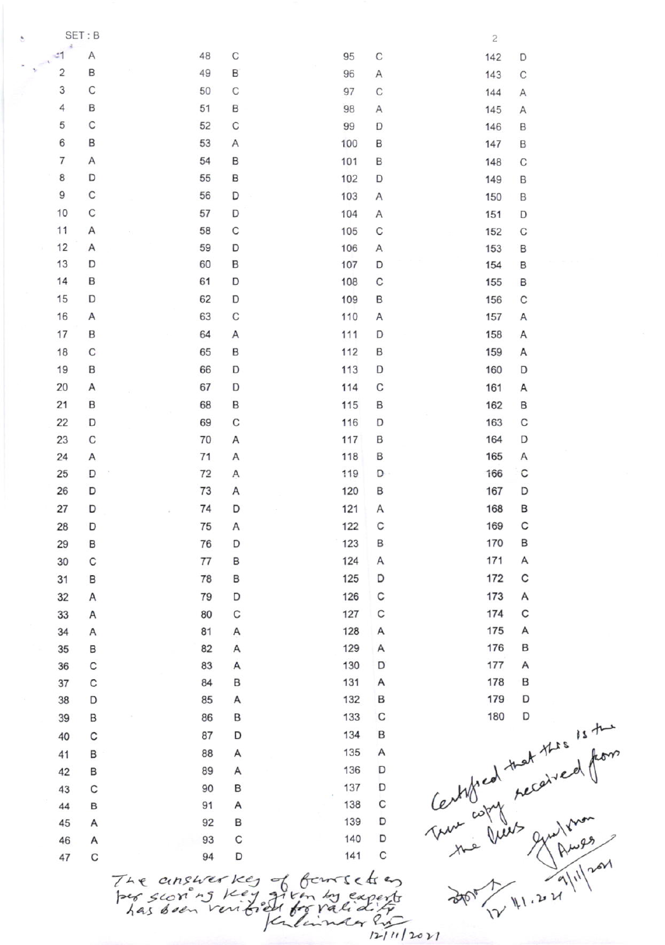SET: B  $\overline{2}$  $-1$ Α 48 C  $\mathsf C$ 95 142 D B  $\overline{2}$ 49 B 96 A 143  $\mathsf C$ 3 C 50 C 97  $\mathsf{C}$ 144 A 4 B 51 B 98 A 145 A 5 C C 52 99 D 146 B 6 B 53 A 100 B 147 B  $\overline{7}$ Α 54 B 101 B 148  $\mathbf C$ 8 D 55 B 102 D 149 B 9 C 56 D 103  $\overline{A}$ 150 B 10 C 57 D 104 Α 151 D  $11$ Α 58 C 105 C 152  $\mathsf C$  $12$ D Α 59 106 A 153 B 13 D 60 B 107 D 154 B  $14$ B 61 D C 108 155 B 15 D 62 D 109 B 156 C 16 63  $\mathsf{C}$ Α 110 A 157 A 17 B 64 111 D 158  $\overline{A}$ A 18 C 65 B B 159 112 Α 19 B 66 D 113 D 160 D 20 А 67 D 114 C 161 A  $21$ B 68 B 115 B 162 B 22 D 69 C 116 D 163 C C 164 D 23 70 B Α 117 24 A 71 A 118 B 165 Α C 25 D 72  $\overline{A}$ 119 D 166 26 D 73 A 120 167 D B 27 D 74 D 121 Α 168 B C 28 D 75 A 122 C 169 29 123 170 B 76 D B B 171 30 C 77 B 124 Α Α C 125 D 172 31 B 78 B 32 Α 79 D 126  $\mathsf{C}$ 173 Α  $\mathsf{C}$ C 174 C 33 A 80 127 175 A 81  $\overline{A}$ 128 A 34 A 176 B 82  $\overline{A}$ 129 A 35 B 130 D 177 A C 83  $\overline{A}$ 36 B 131 A 178 B C 84 37 179 D 38 D 85 A 132 B Central that the 15th C B 86 B 133 39 134 B 87 D C 40 88 A 135 Α 41 B 136 D 89 42 В Α D 43 C 90 B 137 C 91 A 138 B 44 B 139 D 45 A 92 D A 93 C 140 46 C D 141  $\mathbf C$ 94 47

The answerkes of foursets on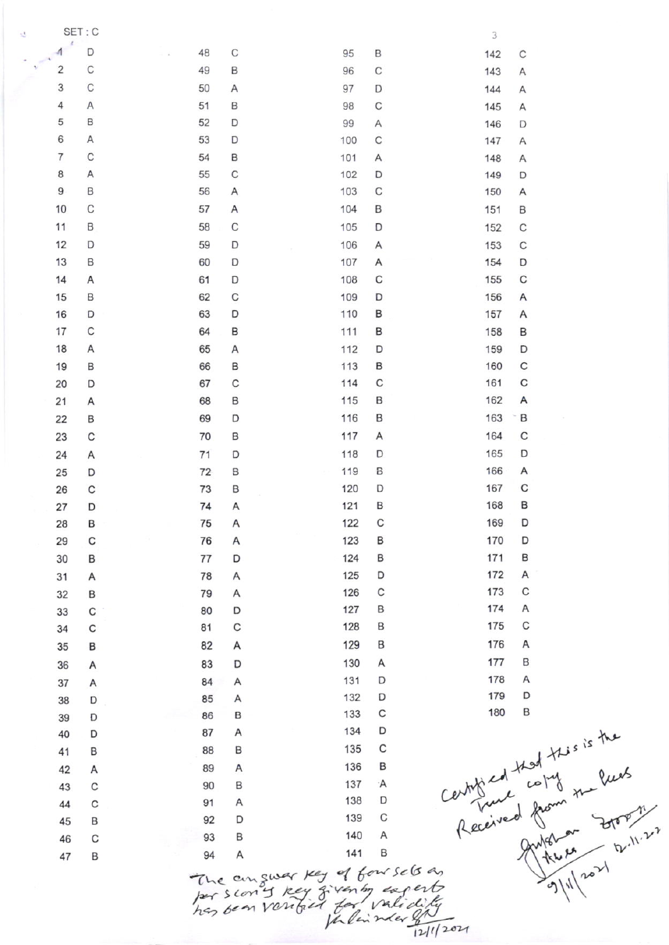3  $\overline{A}$ D 48 C 95 B 142  $\mathsf{C}$  $\overline{2}$  $\mathsf{C}$ 49 B 96  $\mathbf C$ 143 A 3  $\mathsf{C}$ 50 A 97 D 144  $\overline{A}$ 4  $\overline{A}$ 51 B 98  $\mathsf{C}$ 145 A 5 B 52 D 99 A 146 D 6 A 53 D  $\mathsf{C}$ 100 147 Α  $\overline{7}$  $\mathsf{C}$ 54 B 101 A 148 A 8 A 55 C D 102 149 D  $\overline{9}$ B 56 A 103 C 150 A 10 C 57  $\overline{A}$ 104 B 151 B 11 B 58 С 105 D 152  $\mathsf{C}$  $12$ D 59 D  $\mathsf{C}$ 106 Α 153 13 B 60 D 107 A 154 D C  $\mathsf{C}$  $14$ A 61 D 108 155 15 B 62 C 109 D 156 A B 16 D 63 D 110 157 A 17  $\mathsf{C}$ B 64 111 B 158 B 18 A 65 A D D 112 159  $\mathsf{C}$ 19 B 66 B 113 B 160  $\mathsf{C}$ C C 161 20 D 67 114  $21$ 68 B 115 B 162 A A B 163 B 22 B 69 D 116 C  $\overline{A}$ 164 C 23 70 B 117 D 165 D 24 Α  $71$ D 118 Α 25 D 72 B 119 B 166 C 26  $\mathbf C$ 73 B 120 D 167 B 168 B 74 A 121 27 D C 75 A 122 169 D 28 B C A B 170 D 29 76 123 124 B 171 B 30 B 77 D 172 A D 31 Α 78 Α 125 C B 79 A 126 C 173 32 174 A D 127 B 33  $\mathsf{C}$ 80 C C 128 B 175  $\mathsf{C}$ 81 34 176 Α 129 B 82 A 35 B A 177 B 130 36 A 83 D 178 Α  $\overline{A}$ 131 D 84 37 Α D 179 132 D 85 A 38 D Certificat that this is the<br>Received from the Rush<br>Received from to brown<br>and the end of pulling<br>and and the state of the control C 133 86 B D 39 134 D А 87 40 D C 135 88 B B 41 136 B 89 A 42 A  $\mathbf C$ 90 B 137 ۰A 43 138 D A  $\mathbf C$ 91 44 C 139 D 92 45 B 140 A 93 B C 46 B 141 94 A 47 B The anguar key of four sels an<br>Jour scon y key given by eagests<br>her been vantaled for validably

SET: C